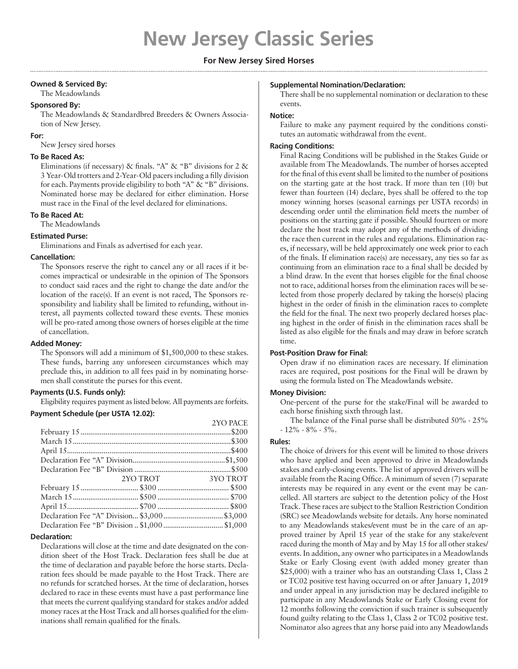# **For New Jersey Sired Horses**

## **Owned & Serviced By:**

The Meadowlands

#### **Sponsored By:**

The Meadowlands & Standardbred Breeders & Owners Association of New Jersey.

### **For:**

New Jersey sired horses

## **To Be Raced As:**

Eliminations (if necessary) & finals. "A" & "B" divisions for  $2 \&$ 3 Year-Old trotters and 2-Year-Old pacers including a filly division for each. Payments provide eligibility to both "A" & "B" divisions. Nominated horse may be declared for either elimination. Horse must race in the Final of the level declared for eliminations.

# **To Be Raced At:**

The Meadowlands

## **Estimated Purse:**

Eliminations and Finals as advertised for each year.

#### **Cancellation:**

The Sponsors reserve the right to cancel any or all races if it becomes impractical or undesirable in the opinion of The Sponsors to conduct said races and the right to change the date and/or the location of the race(s). If an event is not raced, The Sponsors responsibility and liability shall be limited to refunding, without interest, all payments collected toward these events. These monies will be pro-rated among those owners of horses eligible at the time of cancellation.

#### **Added Money:**

The Sponsors will add a minimum of \$1,500,000 to these stakes. These funds, barring any unforeseen circumstances which may preclude this, in addition to all fees paid in by nominating horsemen shall constitute the purses for this event.

# **Payments (U.S. Funds only):**

Eligibility requires payment as listed below. All payments are forfeits. **Payment Schedule (per USTA 12.02):**

|                                                |          | 2YO PACE |
|------------------------------------------------|----------|----------|
|                                                |          |          |
|                                                |          |          |
|                                                |          |          |
|                                                |          |          |
|                                                |          |          |
|                                                | 2YO TROT | 3YO TROT |
|                                                |          |          |
|                                                |          |          |
|                                                |          |          |
|                                                |          |          |
| Declaration Fee "B" Division  \$1,000  \$1,000 |          |          |

#### **Declaration:**

Declarations will close at the time and date designated on the condition sheet of the Host Track. Declaration fees shall be due at the time of declaration and payable before the horse starts. Declaration fees should be made payable to the Host Track. There are no refunds for scratched horses. At the time of declaration, horses declared to race in these events must have a past performance line that meets the current qualifying standard for stakes and/or added money races at the Host Track and all horses qualified for the eliminations shall remain qualified for the finals.

#### **Supplemental Nomination/Declaration:**

There shall be no supplemental nomination or declaration to these events.

#### **Notice:**

Failure to make any payment required by the conditions constitutes an automatic withdrawal from the event.

### **Racing Conditions:**

Final Racing Conditions will be published in the Stakes Guide or available from The Meadowlands. The number of horses accepted for the final of this event shall be limited to the number of positions on the starting gate at the host track. If more than ten (10) but fewer than fourteen (14) declare, byes shall be offered to the top money winning horses (seasonal earnings per USTA records) in descending order until the elimination field meets the number of positions on the starting gate if possible. Should fourteen or more declare the host track may adopt any of the methods of dividing the race then current in the rules and regulations. Elimination races, if necessary, will be held approximately one week prior to each of the finals. If elimination race(s) are necessary, any ties so far as continuing from an elimination race to a final shall be decided by a blind draw. In the event that horses eligible for the final choose not to race, additional horses from the elimination races will be selected from those properly declared by taking the horse(s) placing highest in the order of finish in the elimination races to complete the field for the final. The next two properly declared horses placing highest in the order of finish in the elimination races shall be listed as also eligible for the finals and may draw in before scratch time.

#### **Post-Position Draw for Final:**

Open draw if no elimination races are necessary. If elimination races are required, post positions for the Final will be drawn by using the formula listed on The Meadowlands website.

#### **Money Division:**

One-percent of the purse for the stake/Final will be awarded to each horse finishing sixth through last.

The balance of the Final purse shall be distributed 50% - 25%  $-12\% - 8\% - 5\%$ .

#### **Rules:**

The choice of drivers for this event will be limited to those drivers who have applied and been approved to drive in Meadowlands stakes and early-closing events. The list of approved drivers will be available from the Racing Office. A minimum of seven (7) separate interests may be required in any event or the event may be cancelled. All starters are subject to the detention policy of the Host Track. These races are subject to the Stallion Restriction Condition (SRC) see Meadowlands website for details. Any horse nominated to any Meadowlands stakes/event must be in the care of an approved trainer by April 15 year of the stake for any stake/event raced during the month of May and by May 15 for all other stakes/ events. In addition, any owner who participates in a Meadowlands Stake or Early Closing event (with added money greater than \$25,000) with a trainer who has an outstanding Class 1, Class 2 or TC02 positive test having occurred on or after January 1, 2019 and under appeal in any jurisdiction may be declared ineligible to participate in any Meadowlands Stake or Early Closing event for 12 months following the conviction if such trainer is subsequently found guilty relating to the Class 1, Class 2 or TC02 positive test. Nominator also agrees that any horse paid into any Meadowlands